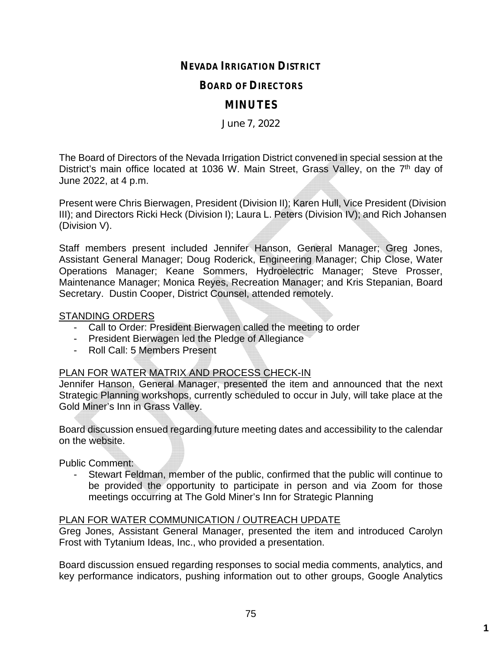## **NEVADA IRRIGATION DISTRICT**

#### **BOARD OF DIRECTORS**

# **MINUTES**

June 7, 2022

The Board of Directors of the Nevada Irrigation District convened in special session at the District's main office located at 1036 W. Main Street, Grass Valley, on the 7<sup>th</sup> day of June 2022, at 4 p.m.

Present were Chris Bierwagen, President (Division II); Karen Hull, Vice President (Division III); and Directors Ricki Heck (Division I); Laura L. Peters (Division IV); and Rich Johansen (Division V).

Staff members present included Jennifer Hanson, General Manager; Greg Jones, Assistant General Manager; Doug Roderick, Engineering Manager; Chip Close, Water Operations Manager; Keane Sommers, Hydroelectric Manager; Steve Prosser, Maintenance Manager; Monica Reyes, Recreation Manager; and Kris Stepanian, Board Secretary. Dustin Cooper, District Counsel, attended remotely.

#### STANDING ORDERS

- Call to Order: President Bierwagen called the meeting to order
- President Bierwagen led the Pledge of Allegiance
- Roll Call: 5 Members Present

#### PLAN FOR WATER MATRIX AND PROCESS CHECK-IN

Jennifer Hanson, General Manager, presented the item and announced that the next Strategic Planning workshops, currently scheduled to occur in July, will take place at the Gold Miner's Inn in Grass Valley.

Board discussion ensued regarding future meeting dates and accessibility to the calendar on the website.

Public Comment:

Stewart Feldman, member of the public, confirmed that the public will continue to be provided the opportunity to participate in person and via Zoom for those meetings occurring at The Gold Miner's Inn for Strategic Planning

#### PLAN FOR WATER COMMUNICATION / OUTREACH UPDATE

Greg Jones, Assistant General Manager, presented the item and introduced Carolyn Frost with Tytanium Ideas, Inc., who provided a presentation.

Board discussion ensued regarding responses to social media comments, analytics, and key performance indicators, pushing information out to other groups, Google Analytics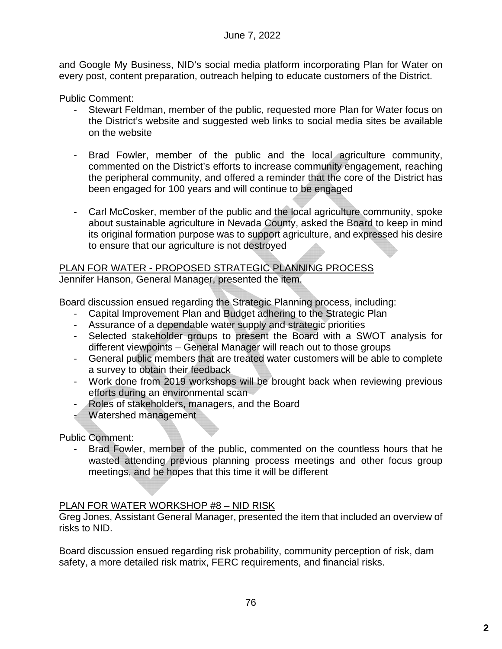and Google My Business, NID's social media platform incorporating Plan for Water on every post, content preparation, outreach helping to educate customers of the District.

Public Comment:

- Stewart Feldman, member of the public, requested more Plan for Water focus on the District's website and suggested web links to social media sites be available on the website
- Brad Fowler, member of the public and the local agriculture community, commented on the District's efforts to increase community engagement, reaching the peripheral community, and offered a reminder that the core of the District has been engaged for 100 years and will continue to be engaged
- Carl McCosker, member of the public and the local agriculture community, spoke about sustainable agriculture in Nevada County, asked the Board to keep in mind its original formation purpose was to support agriculture, and expressed his desire to ensure that our agriculture is not destroyed

# PLAN FOR WATER - PROPOSED STRATEGIC PLANNING PROCESS

Jennifer Hanson, General Manager, presented the item.

Board discussion ensued regarding the Strategic Planning process, including:

- Capital Improvement Plan and Budget adhering to the Strategic Plan
- Assurance of a dependable water supply and strategic priorities
- Selected stakeholder groups to present the Board with a SWOT analysis for different viewpoints – General Manager will reach out to those groups
- General public members that are treated water customers will be able to complete a survey to obtain their feedback
- Work done from 2019 workshops will be brought back when reviewing previous efforts during an environmental scan
- Roles of stakeholders, managers, and the Board
- Watershed management

Public Comment:

Brad Fowler, member of the public, commented on the countless hours that he wasted attending previous planning process meetings and other focus group meetings, and he hopes that this time it will be different

## PLAN FOR WATER WORKSHOP #8 – NID RISK

Greg Jones, Assistant General Manager, presented the item that included an overview of risks to NID.

Board discussion ensued regarding risk probability, community perception of risk, dam safety, a more detailed risk matrix, FERC requirements, and financial risks.